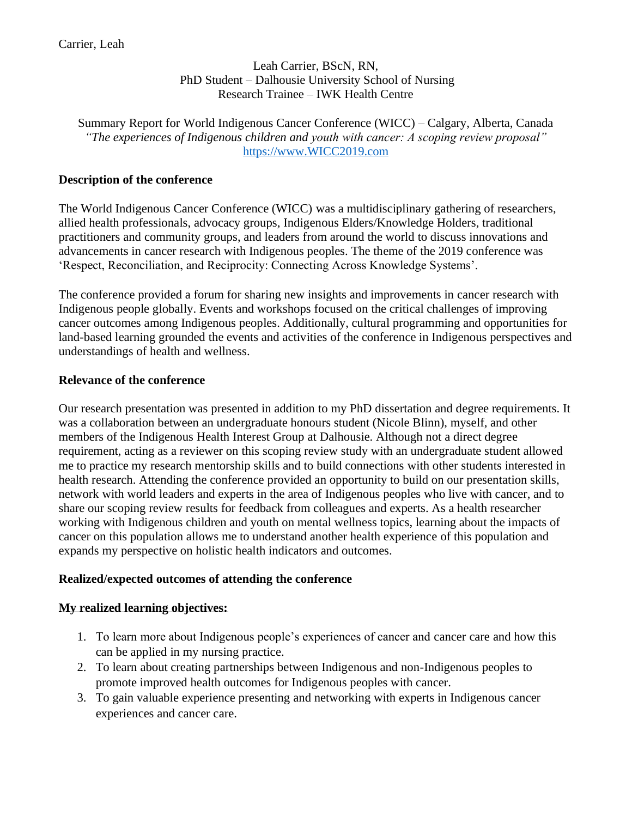Leah Carrier, BScN, RN, PhD Student – Dalhousie University School of Nursing Research Trainee – IWK Health Centre

Summary Report for World Indigenous Cancer Conference (WICC) – Calgary, Alberta, Canada *"The experiences of Indigenous children and youth with cancer: A scoping review proposal"* [https://www.WICC2019.com](https://www.wicc2019.com/)

#### **Description of the conference**

The World Indigenous Cancer Conference (WICC) was a multidisciplinary gathering of researchers, allied health professionals, advocacy groups, Indigenous Elders/Knowledge Holders, traditional practitioners and community groups, and leaders from around the world to discuss innovations and advancements in cancer research with Indigenous peoples. The theme of the 2019 conference was 'Respect, Reconciliation, and Reciprocity: Connecting Across Knowledge Systems'.

The conference provided a forum for sharing new insights and improvements in cancer research with Indigenous people globally. Events and workshops focused on the critical challenges of improving cancer outcomes among Indigenous peoples. Additionally, cultural programming and opportunities for land-based learning grounded the events and activities of the conference in Indigenous perspectives and understandings of health and wellness.

#### **Relevance of the conference**

Our research presentation was presented in addition to my PhD dissertation and degree requirements. It was a collaboration between an undergraduate honours student (Nicole Blinn), myself, and other members of the Indigenous Health Interest Group at Dalhousie. Although not a direct degree requirement, acting as a reviewer on this scoping review study with an undergraduate student allowed me to practice my research mentorship skills and to build connections with other students interested in health research. Attending the conference provided an opportunity to build on our presentation skills, network with world leaders and experts in the area of Indigenous peoples who live with cancer, and to share our scoping review results for feedback from colleagues and experts. As a health researcher working with Indigenous children and youth on mental wellness topics, learning about the impacts of cancer on this population allows me to understand another health experience of this population and expands my perspective on holistic health indicators and outcomes.

## **Realized/expected outcomes of attending the conference**

## **My realized learning objectives:**

- 1. To learn more about Indigenous people's experiences of cancer and cancer care and how this can be applied in my nursing practice.
- 2. To learn about creating partnerships between Indigenous and non-Indigenous peoples to promote improved health outcomes for Indigenous peoples with cancer.
- 3. To gain valuable experience presenting and networking with experts in Indigenous cancer experiences and cancer care.